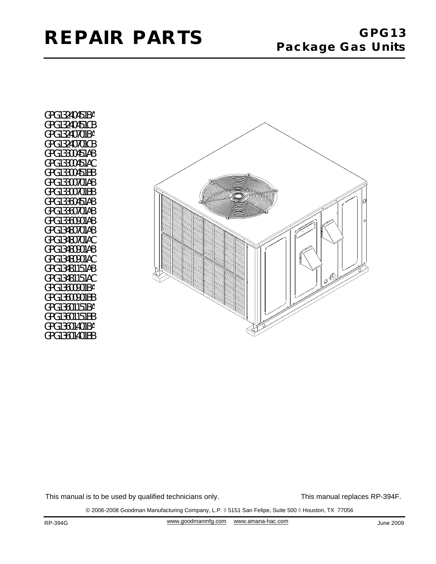

GPG13240451BA GPG13240451CB GPG13240701BA GPG13240701CB GPG13300451AB GPG13300451AC GPG13300451BB GPG13300701AB GPG13300701BB GPG13360451AB GPG13360701AB GPG13360901AB GPG13480701AB GPG13480701AC GPG13480901AB GPG13480901AC GPG13481151AB GPG13481151AC GPG13600901BA GPG13600901BB GPG13601151BA GPG13601151BB GPG13601401BA GPG13601401BB



This manual is to be used by qualified technicians only.

This manual replaces RP-394F.

© 2006-2008 Goodman Manufacturing Company, L.P. ◊ 5151 San Felipe, Suite 500 ◊ Houston, TX 77056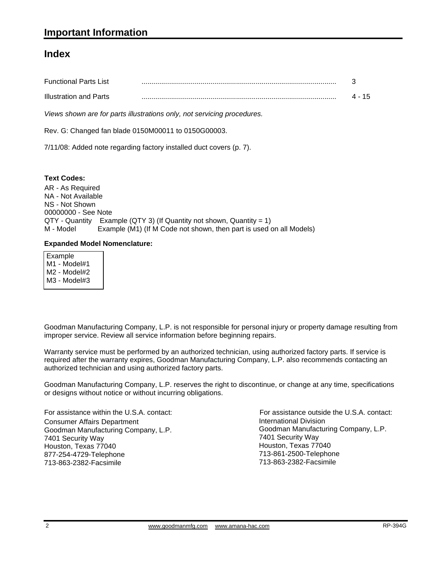#### **Index**

| <b>Functional Parts List</b> |  |
|------------------------------|--|
| Illustration and Parts       |  |

*Views shown are for parts illustrations only, not servicing procedures.*

Rev. G: Changed fan blade 0150M00011 to 0150G00003.

7/11/08: Added note regarding factory installed duct covers (p. 7).

**Text Codes:**

AR - As Required NA - Not Available NS - Not Shown 00000000 - See Note QTY - Quantity Example (QTY 3) (If Quantity not shown, Quantity = 1) M - Model Example (M1) (If M Code not shown, then part is used on all Models)

#### **Expanded Model Nomenclature:**

 Example M1 - Model#1 M2 - Model#2 M3 - Model#3

Goodman Manufacturing Company, L.P. is not responsible for personal injury or property damage resulting from improper service. Review all service information before beginning repairs.

Warranty service must be performed by an authorized technician, using authorized factory parts. If service is required after the warranty expires, Goodman Manufacturing Company, L.P. also recommends contacting an authorized technician and using authorized factory parts.

Goodman Manufacturing Company, L.P. reserves the right to discontinue, or change at any time, specifications or designs without notice or without incurring obligations.

For assistance within the U.S.A. contact: Consumer Affairs Department Goodman Manufacturing Company, L.P. 7401 Security Way Houston, Texas 77040 877-254-4729-Telephone 713-863-2382-Facsimile

International Division International Division<br>Goodman Manufacturing Company, L.P. 7401 Security Way Houston, Texas 77040 713-861-2500-Telephone 713-863-2382-Facsimile For assistance outside the U.S.A. contact: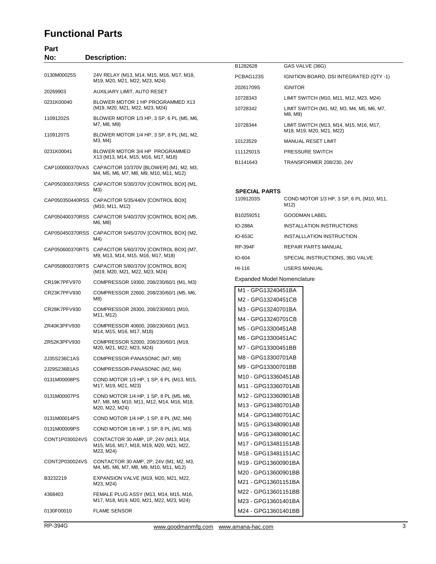#### **Functional Parts**

| Part<br>No:     | <b>Description:</b>                                                                                   |
|-----------------|-------------------------------------------------------------------------------------------------------|
|                 |                                                                                                       |
| 0130M00025S     | 24V RELAY (M13, M14, M15, M16, M17, M18,<br>M19, M20, M21, M22, M23, M24)                             |
| 20269903        | AUXILIARY LIMIT, AUTO RESET                                                                           |
| 0231K00040      | BLOWER MOTOR 1 HP PROGRAMMED X13<br>(M19, M20, M21, M22, M23, M24)                                    |
| 11091202S       | BLOWER MOTOR 1/3 HP, 3 SP, 6 PL (M5, M6,<br>M7, M8, M9)                                               |
| 11091207S       | BLOWER MOTOR 1/4 HP, 3 SP, 8 PL (M1, M2,<br>M3, M4)                                                   |
| 0231K00041      | BLOWER MOTOR 3/4 HP PROGRAMMED<br>X13 (M13, M14, M15, M16, M17, M18)                                  |
|                 | CAP100000370VAS CAPACITOR 10/370V [BLOWER] (M1, M2, M3,<br>M4, M5, M6, M7, M8, M9, M10, M11, M12)     |
|                 | CAP050300370RSS CAPACITOR 5/30/370V [CONTROL BOX] (M1,<br>M3)                                         |
|                 | CAP050350440RSS CAPACITOR 5/35/440V [CONTROL BOX]<br>(M10, M11, M12)                                  |
|                 | CAP050400370RSS CAPACITOR 5/40/370V [CONTROL BOX] (M5,<br>M6, M8)                                     |
|                 | CAP050450370RSS CAPACITOR 5/45/370V [CONTROL BOX] (M2,<br>M4)                                         |
|                 | CAP050600370RTS CAPACITOR 5/60/370V [CONTROL BOX] (M7,<br>M9, M13, M14, M15, M16, M17, M18)           |
| CAP050800370RTS | CAPACITOR 5/80/370V [CONTROL BOX]<br>(M19, M20, M21, M22, M23, M24)                                   |
| CR19K7PFV970    | COMPRESSOR 19300, 208/230/60/1 (M1, M3)                                                               |
| CR23K7PFV930    | COMPRESSOR 22600, 208/230/60/1 (M5, M6,<br>M8)                                                        |
| CR28K7PFV930    | COMPRESSOR 28300, 208/230/60/1 (M10,<br>M11, M12)                                                     |
| ZR40K3PFV930    | COMPRESSOR 40600, 208/230/60/1 (M13,<br>M14, M15, M16, M17, M18)                                      |
| ZR52K3PFV930    | COMPRESSOR 52000, 208/230/60/1 (M19,<br>M20, M21, M22, M23, M24)                                      |
| 2J35S236C1AS    | COMPRESSOR-PANASONIC (M7, M9)                                                                         |
| 2J29S236B1AS    | COMPRESSOR-PANASONIC (M2, M4)                                                                         |
| 0131M00008PS    | COND MOTOR 1/3 HP, 1 SP, 6 PL (M13, M15,<br>M17, M19, M21, M23)                                       |
| 0131M00007PS    | COND MOTOR 1/4 HP, 1 SP, 8 PL (M5, M6,<br>M7, M8, M9, M10, M11, M12, M14, M16, M18,<br>M20, M22, M24) |
| 0131M00014PS    | COND MOTOR 1/4 HP, 1 SP, 8 PL (M2, M4)                                                                |
| 0131M00009PS    | COND MOTOR 1/6 HP, 1 SP, 8 PL (M1, M3)                                                                |
| CONT1P030024VS  | CONTACTOR 30 AMP, 1P, 24V (M13, M14,<br>M15, M16, M17, M18, M19, M20, M21, M22,<br>M23, M24)          |
| CONT2P030024VS  | CONTACTOR 30 AMP, 2P, 24V (M1, M2, M3,<br>M4, M5, M6, M7, M8, M9, M10, M11, M12)                      |
| B3232219        | EXPANSION VALVE (M19, M20, M21, M22,<br>M23, M24)                                                     |
| 4368403         | FEMALE PLUG ASSY (M13, M14, M15, M16,<br>M17, M18, M19, M20, M21, M22, M23, M24)                      |
| 0130F00010      | <b>FLAME SENSOR</b>                                                                                   |

| B1282628  | GAS VALVE (36G)                                                    |
|-----------|--------------------------------------------------------------------|
| PCBAG123S | IGNITION BOARD, DSI INTEGRATED (QTY -1)                            |
| 20261709S | <b>IGNITOR</b>                                                     |
| 10728343  | LIMIT SWITCH (M10, M11, M12, M23, M24)                             |
| 10728342  | LIMIT SWITCH (M1, M2, M3, M4, M5, M6, M7,<br>M8, M9)               |
| 10728344  | LIMIT SWITCH (M13, M14, M15, M16, M17,<br>M18, M19, M20, M21, M22) |
| 10123529  | MANUAL RESET LIMIT                                                 |
| 11112501S | PRESSURE SWITCH                                                    |
| B1141643  | <b>TRANSFORMER 208/230, 24V</b>                                    |

| <b>SPECIAL PARTS</b> |                                                  |
|----------------------|--------------------------------------------------|
| 11091203S            | COND MOTOR 1/3 HP, 3 SP, 6 PL (M10, M11,<br>M12) |
| B10259251            | <b>GOODMAN LABEL</b>                             |
| IO-288A              | INSTALLATION INSTRUCTIONS                        |
| IO-653C              | INSTALLLATION INSTRUCTION                        |
| <b>RP-394F</b>       | <b>REPAIR PARTS MANUAL</b>                       |
| $IO-604$             | SPECIAL INSTRUCTIONS, 36G VALVE                  |
| HI-116               | <b>USERS MANUAL</b>                              |
|                      |                                                  |

Expanded Model Nomenclature

| M1 - GPG13240451BA  |
|---------------------|
| M2 - GPG13240451CB  |
| M3 - GPG13240701BA  |
| M4 - GPG13240701CB  |
| M5 - GPG13300451AB  |
| M6 - GPG13300451AC  |
| M7 - GPG13300451BB  |
| M8 - GPG13300701AB  |
| M9 - GPG13300701BB  |
| M10 - GPG13360451AB |
| M11 - GPG13360701AB |
| M12 - GPG13360901AB |
| M13 - GPG13480701AB |
| M14 - GPG13480701AC |
| M15 - GPG13480901AB |
| M16 - GPG13480901AC |
| M17 - GPG13481151AB |
| M18 - GPG13481151AC |
| M19 - GPG13600901BA |
| M20 - GPG13600901BB |
| M21 - GPG13601151BA |
| M22 - GPG13601151BB |
| M23 - GPG13601401BA |
| M24 - GPG13601401BB |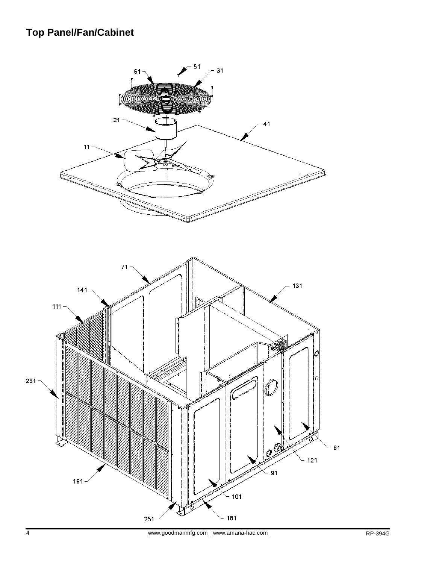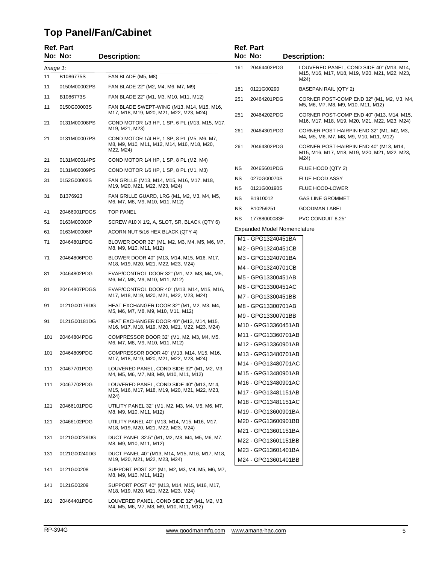#### **Top Panel/Fan/Cabinet**

|          | <b>Ref. Part</b> |                                                                                          |           | <b>Ref. Part</b>                           |                                                                                        |
|----------|------------------|------------------------------------------------------------------------------------------|-----------|--------------------------------------------|----------------------------------------------------------------------------------------|
|          | No: No:          | <b>Description:</b>                                                                      |           | No: No:                                    | <b>Description:</b>                                                                    |
| Image 1: |                  |                                                                                          | 161       | 20464402PDG                                | LOUVERED PANEL, COND SIDE 40" (M13, M14,                                               |
| 11       | B1086775S        | FAN BLADE (M5, M8)                                                                       |           |                                            | M15, M16, M17, M18, M19, M20, M21, M22, M23,<br>M24)                                   |
| 11       | 0150M00002PS     | FAN BLADE 22" (M2, M4, M6, M7, M9)                                                       | 181       | 0121G00290                                 | <b>BASEPAN RAIL (QTY 2)</b>                                                            |
| 11       | B1086773S        | FAN BLADE 22" (M1, M3, M10, M11, M12)                                                    | 251       | 20464201PDG                                | CORNER POST-COMP END 32" (M1, M2, M3, M4,                                              |
| 11       | 0150G00003S      | FAN BLADE SWEPT-WING (M13, M14, M15, M16,<br>M17, M18, M19, M20, M21, M22, M23, M24)     | 251       | 20464202PDG                                | M5, M6, M7, M8, M9, M10, M11, M12)<br>CORNER POST-COMP END 40" (M13, M14, M15,         |
| 21       | 0131M00008PS     | COND MOTOR 1/3 HP, 1 SP, 6 PL (M13, M15, M17,<br>M19, M21, M23)                          |           |                                            | M16, M17, M18, M19, M20, M21, M22, M23, M24)                                           |
| 21       | 0131M00007PS     | COND MOTOR 1/4 HP, 1 SP, 8 PL (M5, M6, M7,                                               | 261       | 20464301PDG                                | CORNER POST-HAIRPIN END 32" (M1, M2, M3,<br>M4, M5, M6, M7, M8, M9, M10, M11, M12)     |
|          |                  | M8, M9, M10, M11, M12, M14, M16, M18, M20,<br>M22, M24)                                  | 261       | 20464302PDG                                | CORNER POST-HAIRPIN END 40" (M13, M14,<br>M15, M16, M17, M18, M19, M20, M21, M22, M23, |
| 21       | 0131M00014PS     | COND MOTOR 1/4 HP, 1 SP, 8 PL (M2, M4)                                                   |           |                                            | M24)                                                                                   |
| 21       | 0131M00009PS     | COND MOTOR 1/6 HP, 1 SP, 8 PL (M1, M3)                                                   | <b>NS</b> | 20465601PDG                                | FLUE HOOD (QTY 2)                                                                      |
| 31       | 0152G00002S      | FAN GRILLE (M13, M14, M15, M16, M17, M18,<br>M19, M20, M21, M22, M23, M24)               | ΝS        | 0270G00070S                                | FLUE HOOD ASSY                                                                         |
| 31       | B1376923         | FAN GRILLE GUARD, LRG (M1, M2, M3, M4, M5,                                               | <b>NS</b> | 0121G00190S                                | FLUE HOOD-LOWER                                                                        |
|          |                  | M6, M7, M8, M9, M10, M11, M12)                                                           | <b>NS</b> | B1910012                                   | <b>GAS LINE GROMMET</b>                                                                |
| 41       | 20466001PDGS     | <b>TOP PANEL</b>                                                                         | <b>NS</b> | B10259251                                  | GOODMAN LABEL                                                                          |
| 51       | 0163M00003P      | SCREW #10 X 1/2, A, SLOT, SR, BLACK (QTY 6)                                              | <b>NS</b> | 17788000083F                               | PVC CONDUIT 8.25"                                                                      |
| 61       | 0163M00006P      | ACORN NUT 5/16 HEX BLACK (QTY 4)                                                         |           | <b>Expanded Model Nomenclature</b>         |                                                                                        |
| 71       | 20464801PDG      | BLOWER DOOR 32" (M1, M2, M3, M4, M5, M6, M7,<br>M8, M9, M10, M11, M12)                   |           | M1 - GPG13240451BA<br>M2 - GPG13240451CB   |                                                                                        |
| 71       | 20464806PDG      | BLOWER DOOR 40" (M13, M14, M15, M16, M17,<br>M18, M19, M20, M21, M22, M23, M24)          |           | M3 - GPG13240701BA                         |                                                                                        |
| 81       | 20464802PDG      | EVAP/CONTROL DOOR 32" (M1, M2, M3, M4, M5,                                               |           | M4 - GPG13240701CB<br>M5 - GPG13300451AB   |                                                                                        |
|          |                  | M6, M7, M8, M9, M10, M11, M12)                                                           |           | M6 - GPG13300451AC                         |                                                                                        |
| 81       | 20464807PDGS     | EVAP/CONTROL DOOR 40" (M13, M14, M15, M16,<br>M17, M18, M19, M20, M21, M22, M23, M24)    |           | M7 - GPG13300451BB                         |                                                                                        |
| 91       | 0121G00179DG     | HEAT EXCHANGER DOOR 32" (M1, M2, M3, M4,<br>M5, M6, M7, M8, M9, M10, M11, M12)           |           | M8 - GPG13300701AB                         |                                                                                        |
| 91       | 0121G00181DG     | HEAT EXCHANGER DOOR 40" (M13, M14, M15,<br>M16, M17, M18, M19, M20, M21, M22, M23, M24)  |           | M9 - GPG13300701BB<br>M10 - GPG13360451AB  |                                                                                        |
| 101      | 20464804PDG      | COMPRESSOR DOOR 32" (M1, M2, M3, M4, M5,<br>M6, M7, M8, M9, M10, M11, M12)               |           | M11 - GPG13360701AB                        |                                                                                        |
| 101      | 20464809PDG      | COMPRESSOR DOOR 40" (M13, M14, M15, M16,                                                 |           | M12 - GPG13360901AB                        |                                                                                        |
|          |                  | M17, M18, M19, M20, M21, M22, M23, M24)                                                  |           | M13 - GPG13480701AB                        |                                                                                        |
| 111      | 20467701PDG      | LOUVERED PANEL, COND SIDE 32" (M1, M2, M3,                                               |           | M14 - GPG13480701AC                        |                                                                                        |
|          |                  | M4, M5, M6, M7, M8, M9, M10, M11, M12)                                                   |           | M15 - GPG13480901AB                        |                                                                                        |
| 111      | 20467702PDG      | LOUVERED PANEL, COND SIDE 40" (M13, M14,<br>M15, M16, M17, M18, M19, M20, M21, M22, M23, |           | M16 - GPG13480901AC<br>M17 - GPG13481151AB |                                                                                        |
|          |                  | M24)                                                                                     |           | M18 - GPG13481151AC                        |                                                                                        |
| 121      | 20466101PDG      | UTILITY PANEL 32" (M1, M2, M3, M4, M5, M6, M7,<br>M8, M9, M10, M11, M12)                 |           | M19 - GPG13600901BA                        |                                                                                        |
| 121      | 20466102PDG      | UTILITY PANEL 40" (M13, M14, M15, M16, M17,                                              |           | M20 - GPG13600901BB                        |                                                                                        |
|          |                  | M18, M19, M20, M21, M22, M23, M24)                                                       |           | M21 - GPG13601151BA                        |                                                                                        |
| 131      | 0121G00239DG     | DUCT PANEL 32.5" (M1, M2, M3, M4, M5, M6, M7,<br>M8, M9, M10, M11, M12)                  |           | M22 - GPG13601151BB                        |                                                                                        |
| 131      | 0121G00240DG     | DUCT PANEL 40" (M13, M14, M15, M16, M17, M18,<br>M19, M20, M21, M22, M23, M24)           |           | M23 - GPG13601401BA<br>M24 - GPG13601401BB |                                                                                        |
| 141      | 0121G00208       | SUPPORT POST 32" (M1, M2, M3, M4, M5, M6, M7,<br>M8, M9, M10, M11, M12)                  |           |                                            |                                                                                        |
| 141      | 0121G00209       | SUPPORT POST 40" (M13, M14, M15, M16, M17,<br>M18, M19, M20, M21, M22, M23, M24)         |           |                                            |                                                                                        |
| 161      | 20464401PDG      | LOUVERED PANEL, COND SIDE 32" (M1, M2, M3,                                               |           |                                            |                                                                                        |

LOUVERED PANEL, COND SIDE 32" (M1, M2, M3, M4, M5, M6, M7, M8, M9, M10, M11, M12)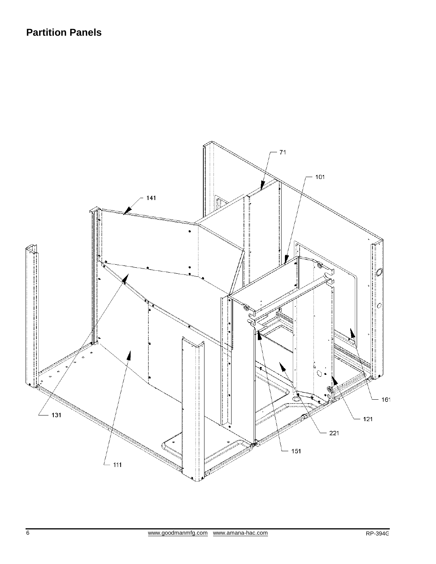#### **Partition Panels**

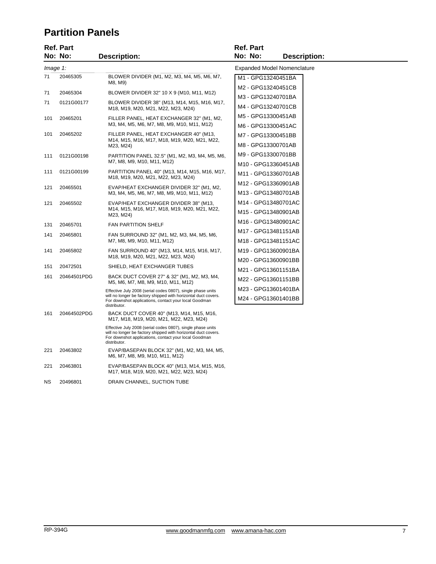#### **Partition Panels**

|     | <b>Ref. Part</b> |                                                                                                                                                                                                        | <b>Ref. Part</b>    |                                    |
|-----|------------------|--------------------------------------------------------------------------------------------------------------------------------------------------------------------------------------------------------|---------------------|------------------------------------|
|     | No: No:          | <b>Description:</b>                                                                                                                                                                                    | No: No:             | <b>Description:</b>                |
|     | $Image 1$ :      |                                                                                                                                                                                                        |                     | <b>Expanded Model Nomenclature</b> |
| 71  | 20465305         | BLOWER DIVIDER (M1, M2, M3, M4, M5, M6, M7,<br>M8, M9)                                                                                                                                                 | M1 - GPG13240451BA  |                                    |
| 71  | 20465304         | BLOWER DIVIDER 32" 10 X 9 (M10, M11, M12)                                                                                                                                                              | M2 - GPG13240451CB  |                                    |
| 71  | 0121G00177       | BLOWER DIVIDER 38" (M13, M14, M15, M16, M17,                                                                                                                                                           | M3 - GPG13240701BA  |                                    |
|     |                  | M18, M19, M20, M21, M22, M23, M24)                                                                                                                                                                     | M4 - GPG13240701CB  |                                    |
| 101 | 20465201         | FILLER PANEL, HEAT EXCHANGER 32" (M1, M2,<br>M3, M4, M5, M6, M7, M8, M9, M10, M11, M12)                                                                                                                | M5 - GPG13300451AB  |                                    |
|     |                  |                                                                                                                                                                                                        | M6 - GPG13300451AC  |                                    |
| 101 | 20465202         | FILLER PANEL, HEAT EXCHANGER 40" (M13,<br>M14, M15, M16, M17, M18, M19, M20, M21, M22,                                                                                                                 | M7 - GPG13300451BB  |                                    |
|     |                  | M23, M24)                                                                                                                                                                                              | M8 - GPG13300701AB  |                                    |
| 111 | 0121G00198       | PARTITION PANEL 32.5" (M1, M2, M3, M4, M5, M6,                                                                                                                                                         | M9 - GPG13300701BB  |                                    |
|     |                  | M7, M8, M9, M10, M11, M12)                                                                                                                                                                             | M10 - GPG13360451AB |                                    |
| 111 | 0121G00199       | PARTITION PANEL 40" (M13, M14, M15, M16, M17,<br>M18, M19, M20, M21, M22, M23, M24)                                                                                                                    | M11 - GPG13360701AB |                                    |
| 121 | 20465501         | EVAP/HEAT EXCHANGER DIVIDER 32" (M1, M2,                                                                                                                                                               | M12 - GPG13360901AB |                                    |
|     |                  | M3, M4, M5, M6, M7, M8, M9, M10, M11, M12)                                                                                                                                                             | M13 - GPG13480701AB |                                    |
| 121 | 20465502         | EVAP/HEAT EXCHANGER DIVIDER 38" (M13,                                                                                                                                                                  | M14 - GPG13480701AC |                                    |
|     |                  | M14, M15, M16, M17, M18, M19, M20, M21, M22,<br>M23, M24)                                                                                                                                              | M15 - GPG13480901AB |                                    |
| 131 | 20465701         | <b>FAN PARTITION SHELF</b>                                                                                                                                                                             | M16 - GPG13480901AC |                                    |
| 141 | 20465801         | FAN SURROUND 32" (M1, M2, M3, M4, M5, M6,                                                                                                                                                              | M17 - GPG13481151AB |                                    |
|     |                  | M7, M8, M9, M10, M11, M12)                                                                                                                                                                             | M18 - GPG13481151AC |                                    |
| 141 | 20465802         | FAN SURROUND 40" (M13, M14, M15, M16, M17,                                                                                                                                                             | M19 - GPG13600901BA |                                    |
|     |                  | M18, M19, M20, M21, M22, M23, M24)                                                                                                                                                                     | M20 - GPG13600901BB |                                    |
| 151 | 20472501         | SHIELD, HEAT EXCHANGER TUBES                                                                                                                                                                           | M21 - GPG13601151BA |                                    |
| 161 | 20464501PDG      | BACK DUCT COVER 27" & 32" (M1, M2, M3, M4,<br>M5, M6, M7, M8, M9, M10, M11, M12)                                                                                                                       | M22 - GPG13601151BB |                                    |
|     |                  | Effective July 2008 (serial codes 0807), single phase units                                                                                                                                            | M23 - GPG13601401BA |                                    |
|     |                  | will no longer be factory shipped with horizontal duct covers.<br>For downshot applications, contact your local Goodman<br>distributor.                                                                | M24 - GPG13601401BB |                                    |
| 161 | 20464502PDG      | BACK DUCT COVER 40" (M13, M14, M15, M16,<br>M17, M18, M19, M20, M21, M22, M23, M24)                                                                                                                    |                     |                                    |
|     |                  | Effective July 2008 (serial codes 0807), single phase units<br>will no longer be factory shipped with horizontal duct covers.<br>For downshot applications, contact your local Goodman<br>distributor. |                     |                                    |
| 221 | 20463802         | EVAP/BASEPAN BLOCK 32" (M1, M2, M3, M4, M5,<br>M6, M7, M8, M9, M10, M11, M12)                                                                                                                          |                     |                                    |
| 221 | 20463801         | EVAP/BASEPAN BLOCK 40" (M13, M14, M15, M16,<br>M17, M18, M19, M20, M21, M22, M23, M24)                                                                                                                 |                     |                                    |

NS 20496801 DRAIN CHANNEL, SUCTION TUBE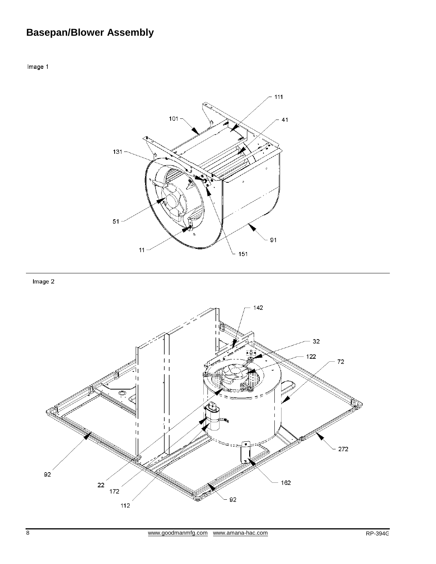# **Basepan/Blower Assembly**

Image 1



Image 2

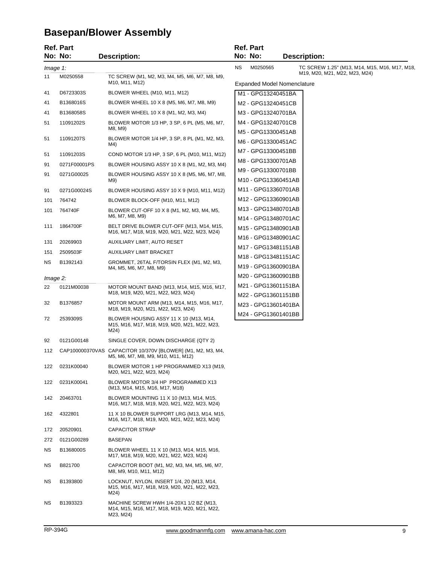# **Basepan/Blower Assembly**

|             | <b>Ref. Part</b> |                                                                                                      | <b>Ref. Part</b> |                                            |  |                                               |
|-------------|------------------|------------------------------------------------------------------------------------------------------|------------------|--------------------------------------------|--|-----------------------------------------------|
|             | No: No:          | <b>Description:</b>                                                                                  | No: No:          |                                            |  | <b>Description:</b>                           |
| $Image 1$ : |                  |                                                                                                      | ΝS               | M0250565                                   |  | TC SCREW 1.25" (M13, M14, M15, M16, M17, M18, |
| 11          | M0250558         | TC SCREW (M1, M2, M3, M4, M5, M6, M7, M8, M9,<br>M10, M11, M12)                                      |                  | <b>Expanded Model Nomenclature</b>         |  | M19, M20, M21, M22, M23, M24)                 |
| 41          | D6723303S        | BLOWER WHEEL (M10, M11, M12)                                                                         |                  | M1 - GPG13240451BA                         |  |                                               |
| 41          | B1368016S        | BLOWER WHEEL 10 X 8 (M5, M6, M7, M8, M9)                                                             |                  | M2 - GPG13240451CB                         |  |                                               |
| 41          | B1368058S        | BLOWER WHEEL 10 X 8 (M1, M2, M3, M4)                                                                 |                  | M3 - GPG13240701BA                         |  |                                               |
| 51          | 11091202S        | BLOWER MOTOR 1/3 HP, 3 SP, 6 PL (M5, M6, M7,<br>M8, M9)                                              |                  | M4 - GPG13240701CB                         |  |                                               |
| 51          | 11091207S        | BLOWER MOTOR 1/4 HP, 3 SP, 8 PL (M1, M2, M3,<br>M4)                                                  |                  | M5 - GPG13300451AB<br>M6 - GPG13300451AC   |  |                                               |
| 51          | 11091203S        | COND MOTOR 1/3 HP, 3 SP, 6 PL (M10, M11, M12)                                                        |                  | M7 - GPG13300451BB                         |  |                                               |
| 91          | 0271F00001PS     | BLOWER HOUSING ASSY 10 X 8 (M1, M2, M3, M4)                                                          |                  | M8 - GPG13300701AB                         |  |                                               |
| 91          | 0271G00025       | BLOWER HOUSING ASSY 10 X 8 (M5, M6, M7, M8,<br>M9)                                                   |                  | M9 - GPG13300701BB<br>M10 - GPG13360451AB  |  |                                               |
| 91          | 0271G00024S      | BLOWER HOUSING ASSY 10 X 9 (M10, M11, M12)                                                           |                  | M11 - GPG13360701AB                        |  |                                               |
| 101         | 764742           | BLOWER BLOCK-OFF (M10, M11, M12)                                                                     |                  | M12 - GPG13360901AB                        |  |                                               |
| 101         | 764740F          | BLOWER CUT-OFF 10 X 8 (M1, M2, M3, M4, M5,<br>M6, M7, M8, M9)                                        |                  | M13 - GPG13480701AB<br>M14 - GPG13480701AC |  |                                               |
| 111         | 1864700F         | BELT DRIVE BLOWER CUT-OFF (M13, M14, M15,<br>M16, M17, M18, M19, M20, M21, M22, M23, M24)            |                  | M15 - GPG13480901AB                        |  |                                               |
| 131         | 20269903         | AUXILIARY LIMIT, AUTO RESET                                                                          |                  | M16 - GPG13480901AC                        |  |                                               |
| 151         | 2509503F         | AUXILIARY LIMIT BRACKET                                                                              |                  | M17 - GPG13481151AB                        |  |                                               |
| ΝS          | B1392143         | GROMMET, 26TAL F/TORSIN FLEX (M1, M2, M3,                                                            |                  | M18 - GPG13481151AC<br>M19 - GPG13600901BA |  |                                               |
|             |                  | M4, M5, M6, M7, M8, M9)                                                                              |                  | M20 - GPG13600901BB                        |  |                                               |
| Image 2:    |                  |                                                                                                      |                  | M21 - GPG13601151BA                        |  |                                               |
| 22          | 0121M00038       | MOTOR MOUNT BAND (M13, M14, M15, M16, M17,<br>M18, M19, M20, M21, M22, M23, M24)                     |                  | M22 - GPG13601151BB                        |  |                                               |
| 32          | B1376857         | MOTOR MOUNT ARM (M13, M14, M15, M16, M17,<br>M18, M19, M20, M21, M22, M23, M24)                      |                  | M23 - GPG13601401BA                        |  |                                               |
| 72          | 2539309S         | BLOWER HOUSING ASSY 11 X 10 (M13, M14,<br>M15, M16, M17, M18, M19, M20, M21, M22, M23,<br>M24)       |                  | M24 - GPG13601401BB                        |  |                                               |
| 92          | 0121G00148       | SINGLE COVER, DOWN DISCHARGE (QTY 2)                                                                 |                  |                                            |  |                                               |
| 112         |                  | CAP100000370VAS CAPACITOR 10/370V [BLOWER] (M1, M2, M3, M4,<br>M5, M6, M7, M8, M9, M10, M11, M12)    |                  |                                            |  |                                               |
| 122         | 0231K00040       | BLOWER MOTOR 1 HP PROGRAMMED X13 (M19,<br>M20, M21, M22, M23, M24)                                   |                  |                                            |  |                                               |
| 122         | 0231K00041       | BLOWER MOTOR 3/4 HP PROGRAMMED X13<br>(M13, M14, M15, M16, M17, M18)                                 |                  |                                            |  |                                               |
| 142         | 20463701         | BLOWER MOUNTING 11 X 10 (M13, M14, M15,<br>M16, M17, M18, M19, M20, M21, M22, M23, M24)              |                  |                                            |  |                                               |
| 162         | 4322801          | 11 X 10 BLOWER SUPPORT LRG (M13, M14, M15,<br>M16, M17, M18, M19, M20, M21, M22, M23, M24)           |                  |                                            |  |                                               |
| 172         | 20520901         | <b>CAPACITOR STRAP</b>                                                                               |                  |                                            |  |                                               |
| 272         | 0121G00289       | BASEPAN                                                                                              |                  |                                            |  |                                               |
| ΝS          | B1368000S        | BLOWER WHEEL 11 X 10 (M13, M14, M15, M16,<br>M17, M18, M19, M20, M21, M22, M23, M24)                 |                  |                                            |  |                                               |
| ΝS          | B821700          | CAPACITOR BOOT (M1, M2, M3, M4, M5, M6, M7,<br>M8, M9, M10, M11, M12)                                |                  |                                            |  |                                               |
| ΝS          | B1393800         | LOCKNUT, NYLON, INSERT 1/4, 20 (M13, M14,<br>M15, M16, M17, M18, M19, M20, M21, M22, M23,<br>M24)    |                  |                                            |  |                                               |
| ΝS          | B1393323         | MACHINE SCREW HWH 1/4-20X1 1/2 BZ (M13,<br>M14, M15, M16, M17, M18, M19, M20, M21, M22,<br>M23, M24) |                  |                                            |  |                                               |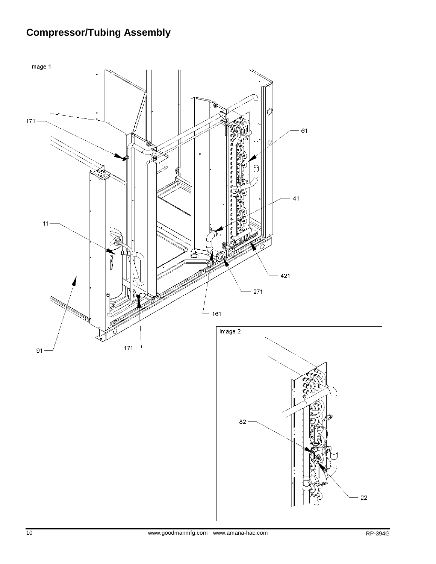# **Compressor/Tubing Assembly**

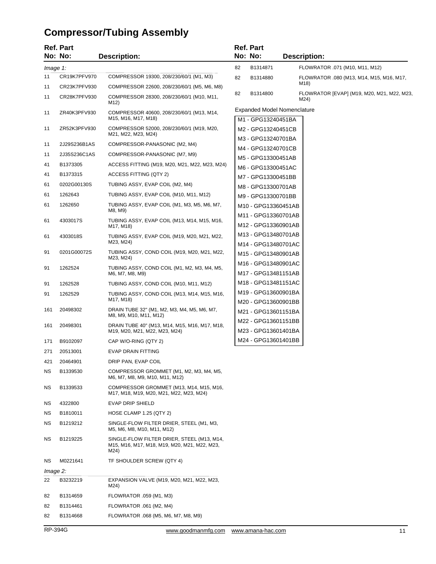# **Compressor/Tubing Assembly**

|          | <b>Ref. Part</b> |                                                                                                    |    | <b>Ref. Part</b>                           |                                                    |
|----------|------------------|----------------------------------------------------------------------------------------------------|----|--------------------------------------------|----------------------------------------------------|
|          | No: No:          | <b>Description:</b>                                                                                |    | No: No:                                    | <b>Description:</b>                                |
| Image 1: |                  |                                                                                                    | 82 | B1314871                                   | FLOWRATOR .071 (M10, M11, M12)                     |
| 11       | CR19K7PFV970     | COMPRESSOR 19300, 208/230/60/1 (M1, M3)                                                            | 82 | B1314880                                   | FLOWRATOR .080 (M13, M14, M15, M16, M17,           |
| 11       | CR23K7PFV930     | COMPRESSOR 22600, 208/230/60/1 (M5, M6, M8)                                                        |    |                                            | M18)                                               |
| 11       | CR28K7PFV930     | COMPRESSOR 28300, 208/230/60/1 (M10, M11,<br>M12)                                                  | 82 | B1314800                                   | FLOWRATOR [EVAP] (M19, M20, M21, M22, M23,<br>M24) |
| 11       | ZR40K3PFV930     | COMPRESSOR 40600, 208/230/60/1 (M13, M14,<br>M15, M16, M17, M18)                                   |    | M1 - GPG13240451BA                         | <b>Expanded Model Nomenclature</b>                 |
| 11       | ZR52K3PFV930     | COMPRESSOR 52000, 208/230/60/1 (M19, M20,<br>M21, M22, M23, M24)                                   |    | M2 - GPG13240451CB                         |                                                    |
| 11       | 2J29S236B1AS     | COMPRESSOR-PANASONIC (M2, M4)                                                                      |    | M3 - GPG13240701BA<br>M4 - GPG13240701CB   |                                                    |
| 11       | 2J35S236C1AS     | COMPRESSOR-PANASONIC (M7, M9)                                                                      |    | M5 - GPG13300451AB                         |                                                    |
| 41       | B1373305         | ACCESS FITTING (M19, M20, M21, M22, M23, M24)                                                      |    | M6 - GPG13300451AC                         |                                                    |
| 41       | B1373315         | ACCESS FITTING (QTY 2)                                                                             |    | M7 - GPG13300451BB                         |                                                    |
| 61       | 0202G00130S      | TUBING ASSY, EVAP COIL (M2, M4)                                                                    |    | M8 - GPG13300701AB                         |                                                    |
| 61       | 1262643          | TUBING ASSY, EVAP COIL (M10, M11, M12)                                                             |    | M9 - GPG13300701BB                         |                                                    |
| 61       | 1262650          | TUBING ASSY, EVAP COIL (M1, M3, M5, M6, M7,                                                        |    | M10 - GPG13360451AB                        |                                                    |
|          |                  | M8, M9)                                                                                            |    | M11 - GPG13360701AB                        |                                                    |
| 61       | 4303017S         | TUBING ASSY, EVAP COIL (M13, M14, M15, M16,<br>M17, M18)                                           |    | M12 - GPG13360901AB                        |                                                    |
| 61       | 4303018S         | TUBING ASSY, EVAP COIL (M19, M20, M21, M22,                                                        |    | M13 - GPG13480701AB                        |                                                    |
|          |                  | M23, M24)                                                                                          |    | M14 - GPG13480701AC                        |                                                    |
| 91       | 0201G00072S      | TUBING ASSY, COND COIL (M19, M20, M21, M22,                                                        |    | M15 - GPG13480901AB                        |                                                    |
|          |                  | M23, M24)                                                                                          |    | M16 - GPG13480901AC                        |                                                    |
| 91       | 1262524          | TUBING ASSY, COND COIL (M1, M2, M3, M4, M5,<br>M6, M7, M8, M9)                                     |    | M17 - GPG13481151AB                        |                                                    |
| 91       | 1262528          | TUBING ASSY, COND COIL (M10, M11, M12)                                                             |    | M18 - GPG13481151AC                        |                                                    |
| 91       | 1262529          | TUBING ASSY, COND COIL (M13, M14, M15, M16,                                                        |    | M19 - GPG13600901BA                        |                                                    |
|          |                  | M17, M18)                                                                                          |    | M20 - GPG13600901BB                        |                                                    |
| 161      | 20498302         | DRAIN TUBE 32" (M1, M2, M3, M4, M5, M6, M7,<br>M8, M9, M10, M11, M12)                              |    | M21 - GPG13601151BA                        |                                                    |
| 161      | 20498301         | DRAIN TUBE 40" (M13, M14, M15, M16, M17, M18,<br>M19, M20, M21, M22, M23, M24)                     |    | M22 - GPG13601151BB<br>M23 - GPG13601401BA |                                                    |
| 171      | B9102097         | CAP W/O-RING (QTY 2)                                                                               |    | M24 - GPG13601401BB                        |                                                    |
| 271      | 20513001         | <b>EVAP DRAIN FITTING</b>                                                                          |    |                                            |                                                    |
| 421      | 20464901         | DRIP PAN, EVAP COIL                                                                                |    |                                            |                                                    |
| ΝS       | B1339530         | COMPRESSOR GROMMET (M1, M2, M3, M4, M5,<br>M6, M7, M8, M9, M10, M11, M12)                          |    |                                            |                                                    |
| ΝS       | B1339533         | COMPRESSOR GROMMET (M13, M14, M15, M16,<br>M17, M18, M19, M20, M21, M22, M23, M24)                 |    |                                            |                                                    |
| NS       | 4322800          | EVAP DRIP SHIELD                                                                                   |    |                                            |                                                    |
| ΝS       | B1810011         | HOSE CLAMP 1.25 (QTY 2)                                                                            |    |                                            |                                                    |
| ΝS       | B1219212         | SINGLE-FLOW FILTER DRIER, STEEL (M1, M3,<br>M5, M6, M8, M10, M11, M12)                             |    |                                            |                                                    |
| ΝS       | B1219225         | SINGLE-FLOW FILTER DRIER, STEEL (M13, M14,<br>M15, M16, M17, M18, M19, M20, M21, M22, M23,<br>M24) |    |                                            |                                                    |
| ΝS       | M0221641         | TF SHOULDER SCREW (QTY 4)                                                                          |    |                                            |                                                    |
| Image 2: |                  |                                                                                                    |    |                                            |                                                    |
| 22       | B3232219         | EXPANSION VALVE (M19, M20, M21, M22, M23,<br>M24)                                                  |    |                                            |                                                    |
| 82       | B1314659         | FLOWRATOR .059 (M1, M3)                                                                            |    |                                            |                                                    |
| 82       | B1314461         | FLOWRATOR .061 (M2, M4)                                                                            |    |                                            |                                                    |
| 82       | B1314668         | FLOWRATOR .068 (M5, M6, M7, M8, M9)                                                                |    |                                            |                                                    |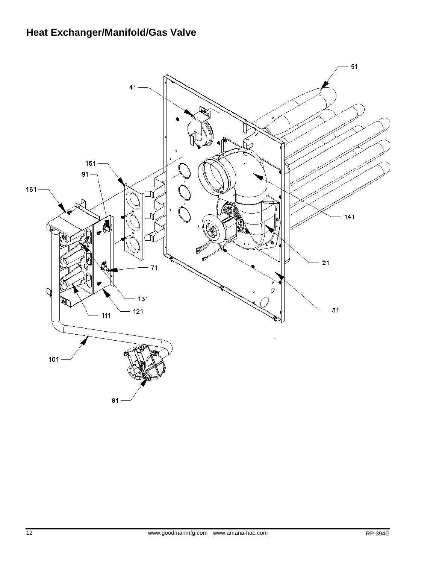# **Heat Exchanger/Manifold/Gas Valve**

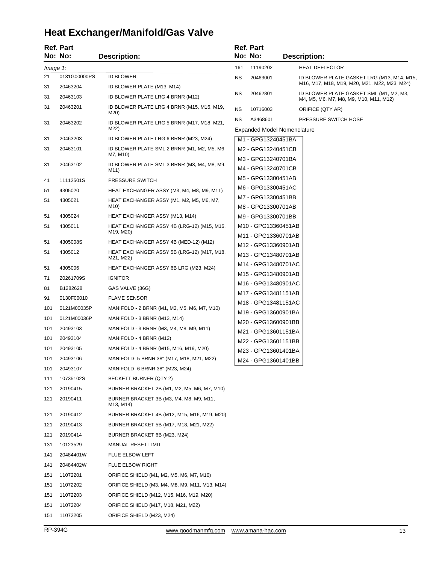# **Heat Exchanger/Manifold/Gas Valve**

|          | <b>Ref. Part</b>    |                                                                                     |           | <b>Ref. Part</b>                           |                                                                                   |
|----------|---------------------|-------------------------------------------------------------------------------------|-----------|--------------------------------------------|-----------------------------------------------------------------------------------|
|          | No: No:             | <b>Description:</b>                                                                 |           | No: No:                                    | <b>Description:</b>                                                               |
| Image 1: |                     |                                                                                     | 161       | 11190202                                   | <b>HEAT DEFLECTOR</b>                                                             |
| 21       | 0131G00000PS        | <b>ID BLOWER</b>                                                                    | <b>NS</b> | 20463001                                   | ID BLOWER PLATE GASKET LRG (M13, M14, M15,                                        |
| 31       | 20463204            | ID BLOWER PLATE (M13, M14)                                                          |           |                                            | M16, M17, M18, M19, M20, M21, M22, M23, M24)                                      |
| 31       | 20463103            | ID BLOWER PLATE LRG 4 BRNR (M12)                                                    | ΝS        | 20462801                                   | ID BLOWER PLATE GASKET SML (M1, M2, M3,<br>M4, M5, M6, M7, M8, M9, M10, M11, M12) |
| 31       | 20463201            | ID BLOWER PLATE LRG 4 BRNR (M15, M16, M19,<br>M20)                                  | <b>NS</b> | 10716003                                   | ORIFICE (QTY AR)                                                                  |
| 31       | 20463202            | ID BLOWER PLATE LRG 5 BRNR (M17, M18, M21,                                          | ΝS        | A3468601                                   | PRESSURE SWITCH HOSE                                                              |
|          |                     | M22)                                                                                |           |                                            | <b>Expanded Model Nomenclature</b>                                                |
| 31       | 20463203            | ID BLOWER PLATE LRG 6 BRNR (M23, M24)                                               |           | M1 - GPG13240451BA                         |                                                                                   |
| 31       | 20463101            | ID BLOWER PLATE SML 2 BRNR (M1, M2, M5, M6,<br>M7, M10)                             |           | M2 - GPG13240451CB                         |                                                                                   |
| 31       | 20463102            | ID BLOWER PLATE SML 3 BRNR (M3, M4, M8, M9,<br>M11)                                 |           | M3 - GPG13240701BA<br>M4 - GPG13240701CB   |                                                                                   |
| 41       | 11112501S           | PRESSURE SWITCH                                                                     |           | M5 - GPG13300451AB                         |                                                                                   |
| 51       | 4305020             | HEAT EXCHANGER ASSY (M3, M4, M8, M9, M11)                                           |           | M6 - GPG13300451AC                         |                                                                                   |
| 51       | 4305021             | HEAT EXCHANGER ASSY (M1, M2, M5, M6, M7,                                            |           | M7 - GPG13300451BB                         |                                                                                   |
|          |                     | M10)                                                                                |           | M8 - GPG13300701AB                         |                                                                                   |
| 51       | 4305024             | HEAT EXCHANGER ASSY (M13, M14)                                                      |           | M9 - GPG13300701BB                         |                                                                                   |
| 51       | 4305011             | HEAT EXCHANGER ASSY 4B (LRG-12) (M15, M16,                                          |           | M10 - GPG13360451AB                        |                                                                                   |
|          |                     | M19, M20)                                                                           |           | M11 - GPG13360701AB                        |                                                                                   |
| 51<br>51 | 4305008S<br>4305012 | HEAT EXCHANGER ASSY 4B (MED-12) (M12)<br>HEAT EXCHANGER ASSY 5B (LRG-12) (M17, M18, |           | M12 - GPG13360901AB                        |                                                                                   |
|          |                     | M21, M22)                                                                           |           | M13 - GPG13480701AB                        |                                                                                   |
| 51       | 4305006             | HEAT EXCHANGER ASSY 6B LRG (M23, M24)                                               |           | M14 - GPG13480701AC                        |                                                                                   |
| 71       | 20261709S           | <b>IGNITOR</b>                                                                      |           | M15 - GPG13480901AB<br>M16 - GPG13480901AC |                                                                                   |
| 81       | B1282628            | GAS VALVE (36G)                                                                     |           | M17 - GPG13481151AB                        |                                                                                   |
| 91       | 0130F00010          | <b>FLAME SENSOR</b>                                                                 |           | M18 - GPG13481151AC                        |                                                                                   |
| 101      | 0121M00035P         | MANIFOLD - 2 BRNR (M1, M2, M5, M6, M7, M10)                                         |           | M19 - GPG13600901BA                        |                                                                                   |
| 101      | 0121M00036P         | MANIFOLD - 3 BRNR (M13, M14)                                                        |           | M20 - GPG13600901BB                        |                                                                                   |
| 101      | 20493103            | MANIFOLD - 3 BRNR (M3, M4, M8, M9, M11)                                             |           | M21 - GPG13601151BA                        |                                                                                   |
| 101      | 20493104            | MANIFOLD - 4 BRNR (M12)                                                             |           | M22 - GPG13601151BB                        |                                                                                   |
| 101      | 20493105            | MANIFOLD - 4 BRNR (M15, M16, M19, M20)                                              |           | M23 - GPG13601401BA                        |                                                                                   |
| 101      | 20493106            | MANIFOLD- 5 BRNR 38" (M17, M18, M21, M22)                                           |           | M24 - GPG13601401BB                        |                                                                                   |
| 101      | 20493107            | MANIFOLD- 6 BRNR 38" (M23, M24)                                                     |           |                                            |                                                                                   |
| 111      | 10735102S           | BECKETT BURNER (QTY 2)                                                              |           |                                            |                                                                                   |
| 121      | 20190415            | BURNER BRACKET 2B (M1, M2, M5, M6, M7, M10)                                         |           |                                            |                                                                                   |
| 121      | 20190411            | BURNER BRACKET 3B (M3, M4, M8, M9, M11,<br>M13, M14)                                |           |                                            |                                                                                   |
| 121      | 20190412            | BURNER BRACKET 4B (M12, M15, M16, M19, M20)                                         |           |                                            |                                                                                   |
| 121      | 20190413            | BURNER BRACKET 5B (M17, M18, M21, M22)                                              |           |                                            |                                                                                   |
| 121      | 20190414            | BURNER BRACKET 6B (M23, M24)                                                        |           |                                            |                                                                                   |
| 131      | 10123529            | MANUAL RESET LIMIT                                                                  |           |                                            |                                                                                   |
| 141      | 20484401W           | FLUE ELBOW LEFT                                                                     |           |                                            |                                                                                   |
| 141      | 20484402W           | FLUE ELBOW RIGHT                                                                    |           |                                            |                                                                                   |
| 151      | 11072201            | ORIFICE SHIELD (M1, M2, M5, M6, M7, M10)                                            |           |                                            |                                                                                   |
| 151      | 11072202            | ORIFICE SHIELD (M3, M4, M8, M9, M11, M13, M14)                                      |           |                                            |                                                                                   |
| 151      | 11072203            | ORIFICE SHIELD (M12, M15, M16, M19, M20)                                            |           |                                            |                                                                                   |
| 151      | 11072204            | ORIFICE SHIELD (M17, M18, M21, M22)                                                 |           |                                            |                                                                                   |
| 151      | 11072205            | ORIFICE SHIELD (M23, M24)                                                           |           |                                            |                                                                                   |
|          |                     |                                                                                     |           |                                            |                                                                                   |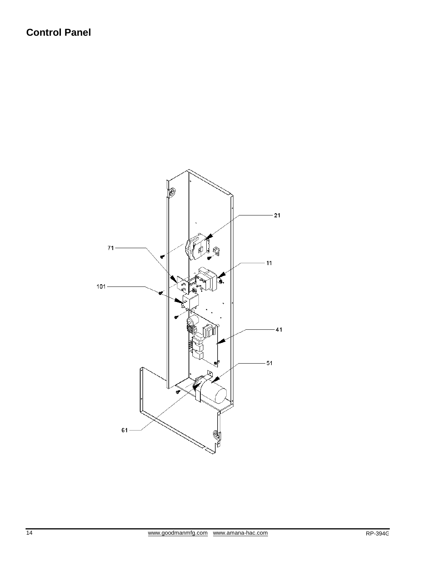